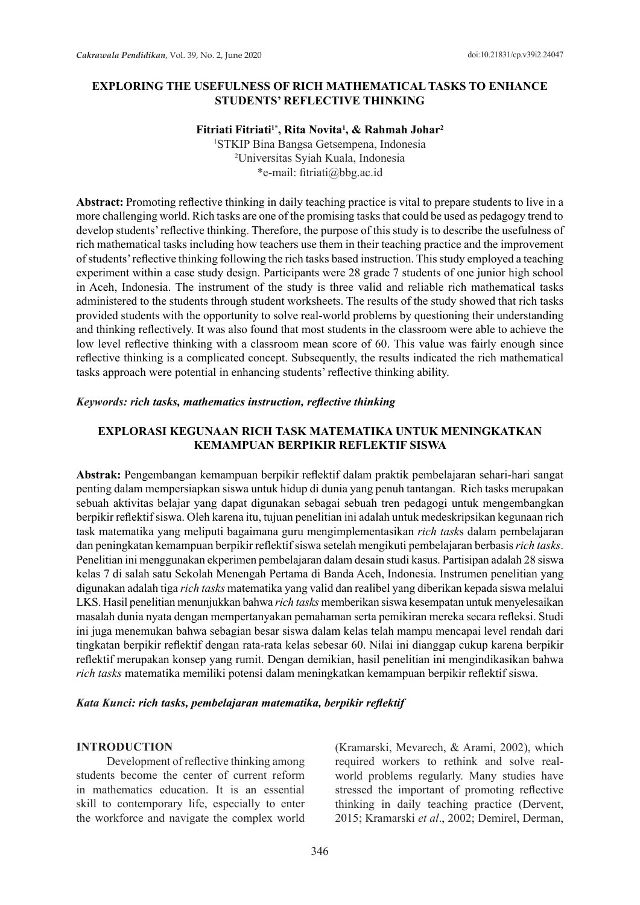## **EXPLORING THE USEFULNESS OF RICH MATHEMATICAL TASKS TO ENHANCE STUDENTS' REFLECTIVE THINKING**

#### **Fitriati Fitriati1\*, Rita Novita1 , & Rahmah Johar2**

1 STKIP Bina Bangsa Getsempena, Indonesia 2 Universitas Syiah Kuala, Indonesia \*e-mail: fitriati@bbg.ac.id

**Abstract:** Promoting reflective thinking in daily teaching practice is vital to prepare students to live in a more challenging world. Rich tasks are one of the promising tasks that could be used as pedagogy trend to develop students' reflective thinking. Therefore, the purpose of this study is to describe the usefulness of rich mathematical tasks including how teachers use them in their teaching practice and the improvement of students' reflective thinking following the rich tasks based instruction. This study employed a teaching experiment within a case study design. Participants were 28 grade 7 students of one junior high school in Aceh, Indonesia. The instrument of the study is three valid and reliable rich mathematical tasks administered to the students through student worksheets. The results of the study showed that rich tasks provided students with the opportunity to solve real-world problems by questioning their understanding and thinking reflectively. It was also found that most students in the classroom were able to achieve the low level reflective thinking with a classroom mean score of 60. This value was fairly enough since reflective thinking is a complicated concept. Subsequently, the results indicated the rich mathematical tasks approach were potential in enhancing students' reflective thinking ability.

#### *Keywords: rich tasks, mathematics instruction, reflective thinking*

# **EXPLORASI KEGUNAAN RICH TASK MATEMATIKA UNTUK MENINGKATKAN KEMAMPUAN BERPIKIR REFLEKTIF SISWA**

**Abstrak:** Pengembangan kemampuan berpikir reflektif dalam praktik pembelajaran sehari-hari sangat penting dalam mempersiapkan siswa untuk hidup di dunia yang penuh tantangan. Rich tasks merupakan sebuah aktivitas belajar yang dapat digunakan sebagai sebuah tren pedagogi untuk mengembangkan berpikir reflektif siswa. Oleh karena itu, tujuan penelitian ini adalah untuk medeskripsikan kegunaan rich task matematika yang meliputi bagaimana guru mengimplementasikan *rich task*s dalam pembelajaran dan peningkatan kemampuan berpikir reflektif siswa setelah mengikuti pembelajaran berbasis *rich tasks*. Penelitian ini menggunakan ekperimen pembelajaran dalam desain studi kasus. Partisipan adalah 28 siswa kelas 7 di salah satu Sekolah Menengah Pertama di Banda Aceh, Indonesia. Instrumen penelitian yang digunakan adalah tiga *rich tasks* matematika yang valid dan realibel yang diberikan kepada siswa melalui LKS. Hasil penelitian menunjukkan bahwa *rich tasks* memberikan siswa kesempatan untuk menyelesaikan masalah dunia nyata dengan mempertanyakan pemahaman serta pemikiran mereka secara refleksi. Studi ini juga menemukan bahwa sebagian besar siswa dalam kelas telah mampu mencapai level rendah dari tingkatan berpikir reflektif dengan rata-rata kelas sebesar 60. Nilai ini dianggap cukup karena berpikir reflektif merupakan konsep yang rumit. Dengan demikian, hasil penelitian ini mengindikasikan bahwa *rich tasks* matematika memiliki potensi dalam meningkatkan kemampuan berpikir reflektif siswa.

#### *Kata Kunci: rich tasks, pembelajaran matematika, berpikir reflektif*

#### **INTRODUCTION**

Development of reflective thinking among students become the center of current reform in mathematics education. It is an essential skill to contemporary life, especially to enter the workforce and navigate the complex world (Kramarski, Mevarech, & Arami, 2002), which required workers to rethink and solve realworld problems regularly. Many studies have stressed the important of promoting reflective thinking in daily teaching practice (Dervent, 2015; Kramarski *et al*., 2002; Demirel, Derman,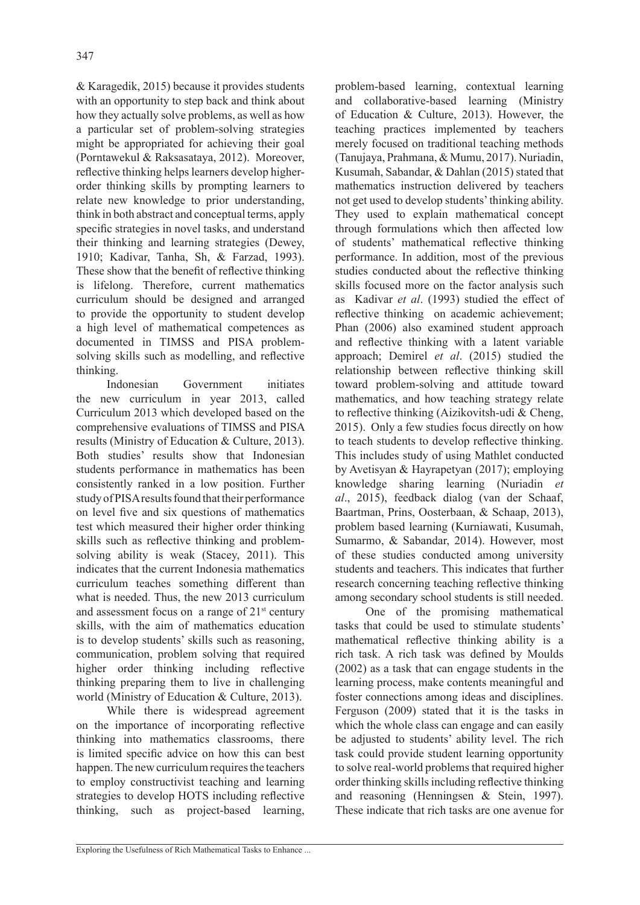& Karagedik, 2015) because it provides students with an opportunity to step back and think about how they actually solve problems, as well as how a particular set of problem-solving strategies might be appropriated for achieving their goal (Porntawekul & Raksasataya, 2012). Moreover, reflective thinking helps learners develop higherorder thinking skills by prompting learners to relate new knowledge to prior understanding, think in both abstract and conceptual terms, apply specific strategies in novel tasks, and understand their thinking and learning strategies (Dewey, 1910; Kadivar, Tanha, Sh, & Farzad, 1993). These show that the benefit of reflective thinking is lifelong. Therefore, current mathematics curriculum should be designed and arranged to provide the opportunity to student develop a high level of mathematical competences as documented in TIMSS and PISA problemsolving skills such as modelling, and reflective thinking.

Indonesian Government initiates the new curriculum in year 2013, called Curriculum 2013 which developed based on the comprehensive evaluations of TIMSS and PISA results (Ministry of Education & Culture, 2013). Both studies' results show that Indonesian students performance in mathematics has been consistently ranked in a low position. Further study of PISA results found that their performance on level five and six questions of mathematics test which measured their higher order thinking skills such as reflective thinking and problemsolving ability is weak (Stacey, 2011). This indicates that the current Indonesia mathematics curriculum teaches something different than what is needed. Thus, the new 2013 curriculum and assessment focus on a range of  $21<sup>st</sup>$  century skills, with the aim of mathematics education is to develop students' skills such as reasoning, communication, problem solving that required higher order thinking including reflective thinking preparing them to live in challenging world (Ministry of Education & Culture, 2013).

While there is widespread agreement on the importance of incorporating reflective thinking into mathematics classrooms, there is limited specific advice on how this can best happen. The new curriculum requires the teachers to employ constructivist teaching and learning strategies to develop HOTS including reflective thinking, such as project-based learning,

problem-based learning, contextual learning and collaborative-based learning (Ministry of Education & Culture, 2013). However, the teaching practices implemented by teachers merely focused on traditional teaching methods (Tanujaya, Prahmana, & Mumu, 2017). Nuriadin, Kusumah, Sabandar, & Dahlan (2015) stated that mathematics instruction delivered by teachers not get used to develop students' thinking ability. They used to explain mathematical concept through formulations which then affected low of students' mathematical reflective thinking performance. In addition, most of the previous studies conducted about the reflective thinking skills focused more on the factor analysis such as Kadivar *et al*. (1993) studied the effect of reflective thinking on academic achievement; Phan (2006) also examined student approach and reflective thinking with a latent variable approach; Demirel *et al*. (2015) studied the relationship between reflective thinking skill toward problem-solving and attitude toward mathematics, and how teaching strategy relate to reflective thinking (Aizikovitsh-udi & Cheng, 2015). Only a few studies focus directly on how to teach students to develop reflective thinking. This includes study of using Mathlet conducted by Avetisyan & Hayrapetyan (2017); employing knowledge sharing learning (Nuriadin *et al*., 2015), feedback dialog (van der Schaaf, Baartman, Prins, Oosterbaan, & Schaap, 2013), problem based learning (Kurniawati, Kusumah, Sumarmo, & Sabandar, 2014). However, most of these studies conducted among university students and teachers. This indicates that further research concerning teaching reflective thinking among secondary school students is still needed.

One of the promising mathematical tasks that could be used to stimulate students' mathematical reflective thinking ability is a rich task. A rich task was defined by Moulds (2002) as a task that can engage students in the learning process, make contents meaningful and foster connections among ideas and disciplines. Ferguson (2009) stated that it is the tasks in which the whole class can engage and can easily be adjusted to students' ability level. The rich task could provide student learning opportunity to solve real-world problems that required higher order thinking skills including reflective thinking and reasoning (Henningsen & Stein, 1997). These indicate that rich tasks are one avenue for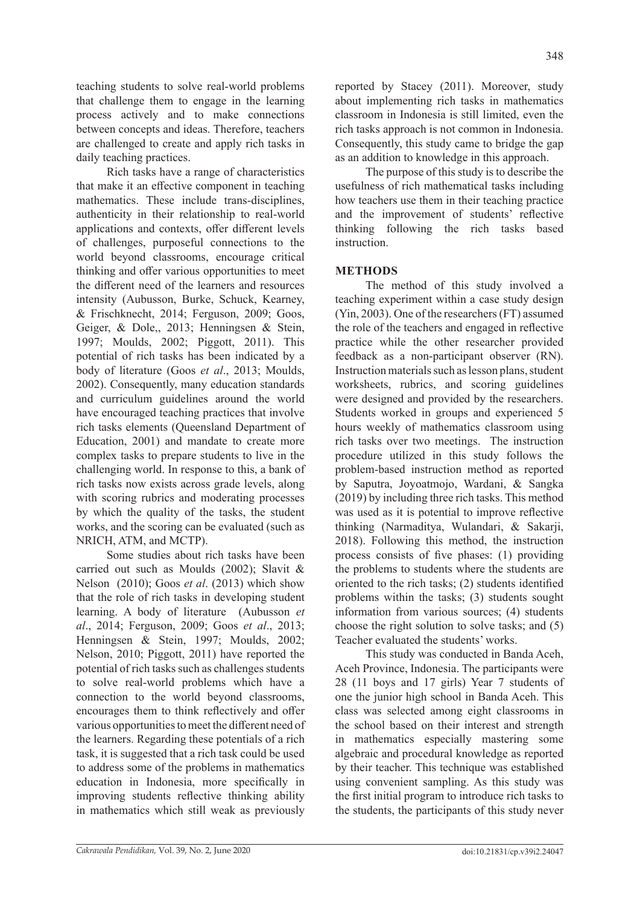teaching students to solve real-world problems that challenge them to engage in the learning process actively and to make connections between concepts and ideas. Therefore, teachers are challenged to create and apply rich tasks in daily teaching practices.

Rich tasks have a range of characteristics that make it an effective component in teaching mathematics. These include trans-disciplines, authenticity in their relationship to real-world applications and contexts, offer different levels of challenges, purposeful connections to the world beyond classrooms, encourage critical thinking and offer various opportunities to meet the different need of the learners and resources intensity (Aubusson, Burke, Schuck, Kearney, & Frischknecht, 2014; Ferguson, 2009; Goos, Geiger, & Dole,, 2013; Henningsen & Stein, 1997; Moulds, 2002; Piggott, 2011). This potential of rich tasks has been indicated by a body of literature (Goos *et al*., 2013; Moulds, 2002). Consequently, many education standards and curriculum guidelines around the world have encouraged teaching practices that involve rich tasks elements (Queensland Department of Education, 2001) and mandate to create more complex tasks to prepare students to live in the challenging world. In response to this, a bank of rich tasks now exists across grade levels, along with scoring rubrics and moderating processes by which the quality of the tasks, the student works, and the scoring can be evaluated (such as NRICH, ATM, and MCTP).

Some studies about rich tasks have been carried out such as Moulds (2002); Slavit & Nelson (2010); Goos *et al*. (2013) which show that the role of rich tasks in developing student learning. A body of literature (Aubusson *et al*., 2014; Ferguson, 2009; Goos *et al*., 2013; Henningsen & Stein, 1997; Moulds, 2002; Nelson, 2010; Piggott, 2011) have reported the potential of rich tasks such as challenges students to solve real-world problems which have a connection to the world beyond classrooms, encourages them to think reflectively and offer various opportunities to meet the different need of the learners. Regarding these potentials of a rich task, it is suggested that a rich task could be used to address some of the problems in mathematics education in Indonesia, more specifically in improving students reflective thinking ability in mathematics which still weak as previously

reported by Stacey (2011). Moreover, study about implementing rich tasks in mathematics classroom in Indonesia is still limited, even the rich tasks approach is not common in Indonesia. Consequently, this study came to bridge the gap as an addition to knowledge in this approach.

The purpose of this study is to describe the usefulness of rich mathematical tasks including how teachers use them in their teaching practice and the improvement of students' reflective thinking following the rich tasks based instruction.

# **METHODS**

The method of this study involved a teaching experiment within a case study design (Yin, 2003). One of the researchers (FT) assumed the role of the teachers and engaged in reflective practice while the other researcher provided feedback as a non-participant observer (RN). Instruction materials such as lesson plans, student worksheets, rubrics, and scoring guidelines were designed and provided by the researchers. Students worked in groups and experienced 5 hours weekly of mathematics classroom using rich tasks over two meetings. The instruction procedure utilized in this study follows the problem-based instruction method as reported by Saputra, Joyoatmojo, Wardani, & Sangka (2019) by including three rich tasks. This method was used as it is potential to improve reflective thinking (Narmaditya, Wulandari, & Sakarji, 2018). Following this method, the instruction process consists of five phases: (1) providing the problems to students where the students are oriented to the rich tasks; (2) students identified problems within the tasks; (3) students sought information from various sources; (4) students choose the right solution to solve tasks; and (5) Teacher evaluated the students' works.

This study was conducted in Banda Aceh, Aceh Province, Indonesia. The participants were 28 (11 boys and 17 girls) Year 7 students of one the junior high school in Banda Aceh. This class was selected among eight classrooms in the school based on their interest and strength in mathematics especially mastering some algebraic and procedural knowledge as reported by their teacher. This technique was established using convenient sampling. As this study was the first initial program to introduce rich tasks to the students, the participants of this study never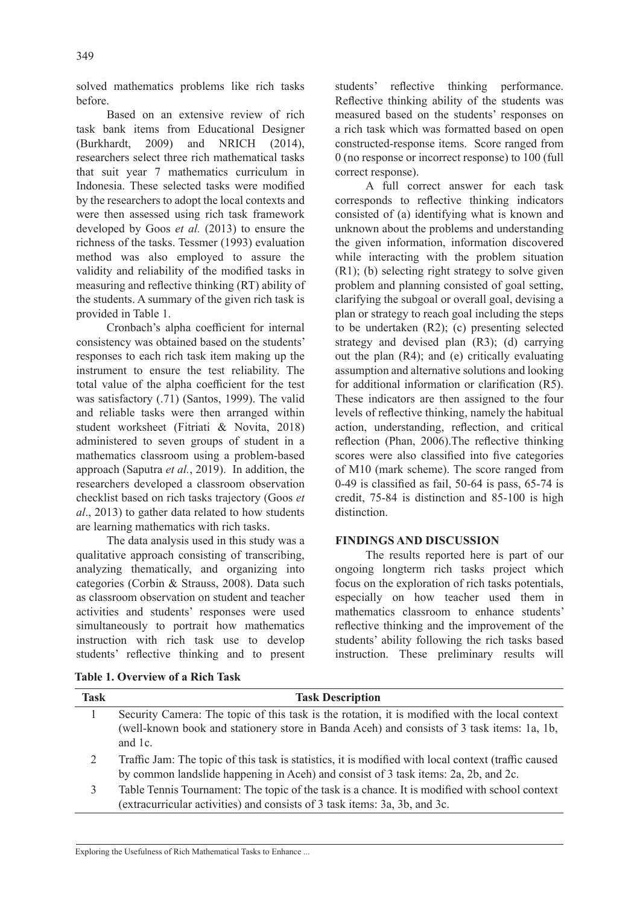solved mathematics problems like rich tasks before.

Based on an extensive review of rich task bank items from Educational Designer (Burkhardt, 2009) and NRICH (2014), researchers select three rich mathematical tasks that suit year 7 mathematics curriculum in Indonesia. These selected tasks were modified by the researchers to adopt the local contexts and were then assessed using rich task framework developed by Goos *et al.* (2013) to ensure the richness of the tasks. Tessmer (1993) evaluation method was also employed to assure the validity and reliability of the modified tasks in measuring and reflective thinking (RT) ability of the students. A summary of the given rich task is provided in Table 1.

Cronbach's alpha coefficient for internal consistency was obtained based on the students' responses to each rich task item making up the instrument to ensure the test reliability. The total value of the alpha coefficient for the test was satisfactory (.71) (Santos, 1999). The valid and reliable tasks were then arranged within student worksheet (Fitriati & Novita, 2018) administered to seven groups of student in a mathematics classroom using a problem-based approach (Saputra *et al.*, 2019). In addition, the researchers developed a classroom observation checklist based on rich tasks trajectory (Goos *et al*., 2013) to gather data related to how students are learning mathematics with rich tasks.

The data analysis used in this study was a qualitative approach consisting of transcribing, analyzing thematically, and organizing into categories (Corbin & Strauss, 2008). Data such as classroom observation on student and teacher activities and students' responses were used simultaneously to portrait how mathematics instruction with rich task use to develop students' reflective thinking and to present students' reflective thinking performance. Reflective thinking ability of the students was measured based on the students' responses on a rich task which was formatted based on open constructed-response items. Score ranged from 0 (no response or incorrect response) to 100 (full correct response).

A full correct answer for each task corresponds to reflective thinking indicators consisted of (a) identifying what is known and unknown about the problems and understanding the given information, information discovered while interacting with the problem situation (R1); (b) selecting right strategy to solve given problem and planning consisted of goal setting, clarifying the subgoal or overall goal, devising a plan or strategy to reach goal including the steps to be undertaken (R2); (c) presenting selected strategy and devised plan (R3); (d) carrying out the plan (R4); and (e) critically evaluating assumption and alternative solutions and looking for additional information or clarification (R5). These indicators are then assigned to the four levels of reflective thinking, namely the habitual action, understanding, reflection, and critical reflection (Phan, 2006).The reflective thinking scores were also classified into five categories of M10 (mark scheme). The score ranged from 0-49 is classified as fail, 50-64 is pass, 65-74 is credit, 75-84 is distinction and 85-100 is high distinction.

## **FINDINGS AND DISCUSSION**

The results reported here is part of our ongoing longterm rich tasks project which focus on the exploration of rich tasks potentials, especially on how teacher used them in mathematics classroom to enhance students' reflective thinking and the improvement of the students' ability following the rich tasks based instruction. These preliminary results will

| Task | <b>Task Description</b>                                                                              |
|------|------------------------------------------------------------------------------------------------------|
|      | Security Camera: The topic of this task is the rotation, it is modified with the local context       |
|      | (well-known book and stationery store in Banda Aceh) and consists of 3 task items: 1a, 1b,           |
|      | and 1c.                                                                                              |
| 2    | Traffic Jam: The topic of this task is statistics, it is modified with local context (traffic caused |
|      | by common landslide happening in Aceh) and consist of 3 task items: 2a, 2b, and 2c.                  |
| 3    | Table Tennis Tournament: The topic of the task is a chance. It is modified with school context       |
|      | (extracurricular activities) and consists of 3 task items: 3a, 3b, and 3c.                           |

# **Table 1. Overview of a Rich Task**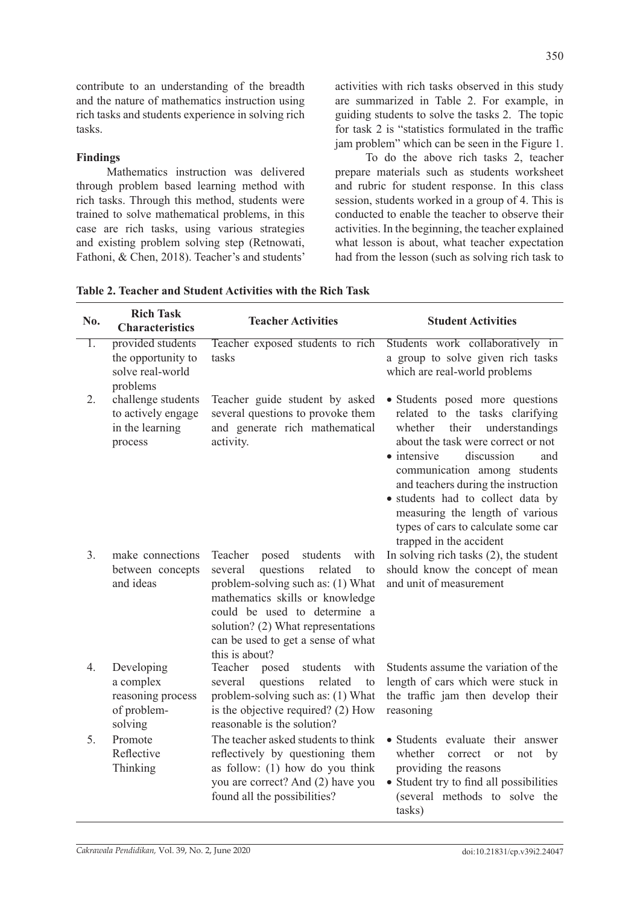contribute to an understanding of the breadth and the nature of mathematics instruction using rich tasks and students experience in solving rich tasks.

## **Findings**

Mathematics instruction was delivered through problem based learning method with rich tasks. Through this method, students were trained to solve mathematical problems, in this case are rich tasks, using various strategies and existing problem solving step (Retnowati, Fathoni, & Chen, 2018). Teacher's and students'

activities with rich tasks observed in this study are summarized in Table 2. For example, in guiding students to solve the tasks 2. The topic for task 2 is "statistics formulated in the traffic jam problem" which can be seen in the Figure 1.

To do the above rich tasks 2, teacher prepare materials such as students worksheet and rubric for student response. In this class session, students worked in a group of 4. This is conducted to enable the teacher to observe their activities. In the beginning, the teacher explained what lesson is about, what teacher expectation had from the lesson (such as solving rich task to

| Table 2. Teacher and Student Activities with the Rich Task |
|------------------------------------------------------------|
|------------------------------------------------------------|

| No. | <b>Rich Task</b><br><b>Characteristics</b>                              | <b>Teacher Activities</b>                                                                                                                                                                                                                                                           | <b>Student Activities</b>                                                                                                                                                                                                                                                                                                                                                                                   |
|-----|-------------------------------------------------------------------------|-------------------------------------------------------------------------------------------------------------------------------------------------------------------------------------------------------------------------------------------------------------------------------------|-------------------------------------------------------------------------------------------------------------------------------------------------------------------------------------------------------------------------------------------------------------------------------------------------------------------------------------------------------------------------------------------------------------|
| 1.  | provided students<br>the opportunity to<br>solve real-world<br>problems | Teacher exposed students to rich<br>tasks                                                                                                                                                                                                                                           | Students work collaboratively in<br>a group to solve given rich tasks<br>which are real-world problems                                                                                                                                                                                                                                                                                                      |
| 2.  | challenge students<br>to actively engage<br>in the learning<br>process  | Teacher guide student by asked<br>several questions to provoke them<br>and generate rich mathematical<br>activity.                                                                                                                                                                  | • Students posed more questions<br>related to the tasks clarifying<br>their<br>understandings<br>whether<br>about the task were correct or not<br>discussion<br>$\bullet$ intensive<br>and<br>communication among students<br>and teachers during the instruction<br>· students had to collect data by<br>measuring the length of various<br>types of cars to calculate some car<br>trapped in the accident |
| 3.  | make connections<br>between concepts<br>and ideas                       | Teacher<br>posed<br>students<br>with<br>questions<br>several<br>related<br>to<br>problem-solving such as: (1) What<br>mathematics skills or knowledge<br>could be used to determine a<br>solution? (2) What representations<br>can be used to get a sense of what<br>this is about? | In solving rich tasks $(2)$ , the student<br>should know the concept of mean<br>and unit of measurement                                                                                                                                                                                                                                                                                                     |
| 4.  | Developing<br>a complex<br>reasoning process<br>of problem-<br>solving  | Teacher<br>posed<br>students with<br>questions<br>related<br>several<br>to<br>problem-solving such as: (1) What<br>is the objective required? (2) How<br>reasonable is the solution?                                                                                                | Students assume the variation of the<br>length of cars which were stuck in<br>the traffic jam then develop their<br>reasoning                                                                                                                                                                                                                                                                               |
| 5.  | Promote<br>Reflective<br>Thinking                                       | The teacher asked students to think<br>reflectively by questioning them<br>as follow: $(1)$ how do you think<br>you are correct? And (2) have you<br>found all the possibilities?                                                                                                   | • Students evaluate their answer<br>whether<br>correct<br><b>or</b><br>not<br>by<br>providing the reasons<br>• Student try to find all possibilities<br>(several methods to solve the<br>tasks)                                                                                                                                                                                                             |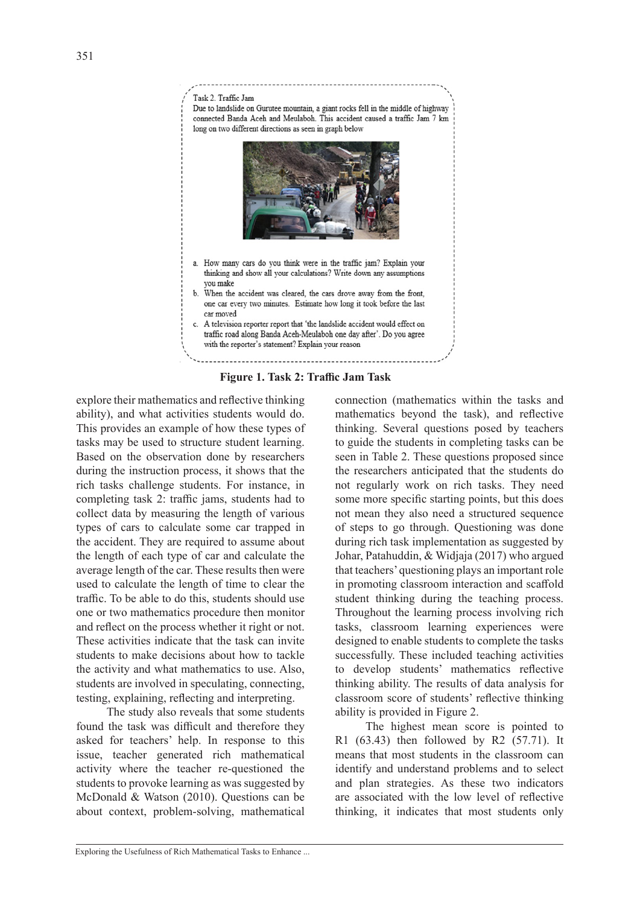

**Figure 1. Task 2: Traffic Jam Task**

explore their mathematics and reflective thinking ability), and what activities students would do. This provides an example of how these types of tasks may be used to structure student learning. Based on the observation done by researchers during the instruction process, it shows that the rich tasks challenge students. For instance, in completing task 2: traffic jams, students had to collect data by measuring the length of various types of cars to calculate some car trapped in the accident. They are required to assume about the length of each type of car and calculate the average length of the car. These results then were used to calculate the length of time to clear the traffic. To be able to do this, students should use one or two mathematics procedure then monitor and reflect on the process whether it right or not. These activities indicate that the task can invite students to make decisions about how to tackle the activity and what mathematics to use. Also, students are involved in speculating, connecting, testing, explaining, reflecting and interpreting.

The study also reveals that some students found the task was difficult and therefore they asked for teachers' help. In response to this issue, teacher generated rich mathematical activity where the teacher re-questioned the students to provoke learning as was suggested by McDonald & Watson (2010). Questions can be about context, problem-solving, mathematical

connection (mathematics within the tasks and mathematics beyond the task), and reflective thinking. Several questions posed by teachers to guide the students in completing tasks can be seen in Table 2. These questions proposed since the researchers anticipated that the students do not regularly work on rich tasks. They need some more specific starting points, but this does not mean they also need a structured sequence of steps to go through. Questioning was done during rich task implementation as suggested by Johar, Patahuddin, & Widjaja (2017) who argued that teachers' questioning plays an important role in promoting classroom interaction and scaffold student thinking during the teaching process. Throughout the learning process involving rich tasks, classroom learning experiences were designed to enable students to complete the tasks successfully. These included teaching activities to develop students' mathematics reflective thinking ability. The results of data analysis for classroom score of students' reflective thinking ability is provided in Figure 2.

The highest mean score is pointed to R1 (63.43) then followed by R2 (57.71). It means that most students in the classroom can identify and understand problems and to select and plan strategies. As these two indicators are associated with the low level of reflective thinking, it indicates that most students only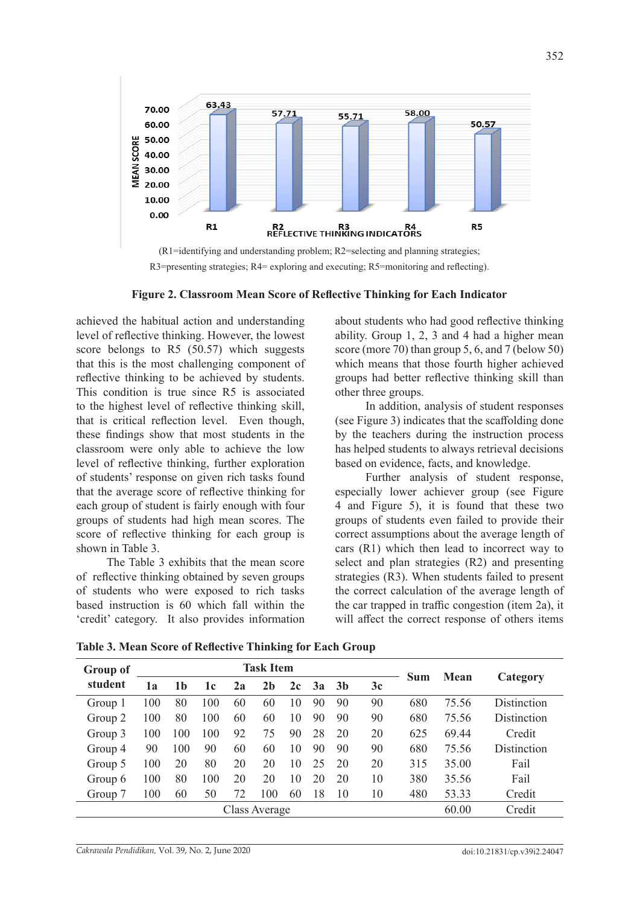



**Figure 2. Classroom Mean Score of Reflective Thinking for Each Indicator**

achieved the habitual action and understanding level of reflective thinking. However, the lowest score belongs to R5 (50.57) which suggests that this is the most challenging component of reflective thinking to be achieved by students. This condition is true since R5 is associated to the highest level of reflective thinking skill, that is critical reflection level. Even though, these findings show that most students in the classroom were only able to achieve the low level of reflective thinking, further exploration of students' response on given rich tasks found that the average score of reflective thinking for each group of student is fairly enough with four groups of students had high mean scores. The score of reflective thinking for each group is shown in Table 3.

The Table 3 exhibits that the mean score of reflective thinking obtained by seven groups of students who were exposed to rich tasks based instruction is 60 which fall within the 'credit' category. It also provides information

about students who had good reflective thinking ability. Group 1, 2, 3 and 4 had a higher mean score (more 70) than group 5, 6, and 7 (below 50) which means that those fourth higher achieved groups had better reflective thinking skill than other three groups.

In addition, analysis of student responses (see Figure 3) indicates that the scaffolding done by the teachers during the instruction process has helped students to always retrieval decisions based on evidence, facts, and knowledge.

Further analysis of student response, especially lower achiever group (see Figure 4 and Figure 5), it is found that these two groups of students even failed to provide their correct assumptions about the average length of cars (R1) which then lead to incorrect way to select and plan strategies (R2) and presenting strategies (R3). When students failed to present the correct calculation of the average length of the car trapped in traffic congestion (item 2a), it will affect the correct response of others items

| Group of | <b>Task Item</b> |     |     |    |                |    |    |                |    |            |             |                    |
|----------|------------------|-----|-----|----|----------------|----|----|----------------|----|------------|-------------|--------------------|
| student  | 1a               | 1b  | 1c  | 2a | 2 <sub>b</sub> | 2c | 3a | 3 <sub>b</sub> | 3c | <b>Sum</b> | <b>Mean</b> | Category           |
| Group 1  | 100              | 80  | 100 | 60 | 60             | 10 | 90 | 90             | 90 | 680        | 75.56       | Distinction        |
| Group 2  | 100              | 80  | 100 | 60 | 60             | 10 | 90 | 90             | 90 | 680        | 75.56       | <b>Distinction</b> |
| Group 3  | 100              | 100 | 100 | 92 | 75             | 90 | 28 | 20             | 20 | 625        | 69.44       | Credit             |
| Group 4  | 90               | 100 | 90  | 60 | 60             | 10 | 90 | 90             | 90 | 680        | 75.56       | Distinction        |
| Group 5  | 100              | 20  | 80  | 20 | 20             | 10 | 25 | 20             | 20 | 315        | 35.00       | Fail               |
| Group 6  | 100              | 80  | 100 | 20 | 20             | 10 | 20 | 20             | 10 | 380        | 35.56       | Fail               |
| Group 7  | 100              | 60  | 50  | 72 | 100            | 60 | 18 | 10             | 10 | 480        | 53.33       | Credit             |
|          |                  |     |     |    | Class Average  |    |    |                |    |            | 60.00       | Credit             |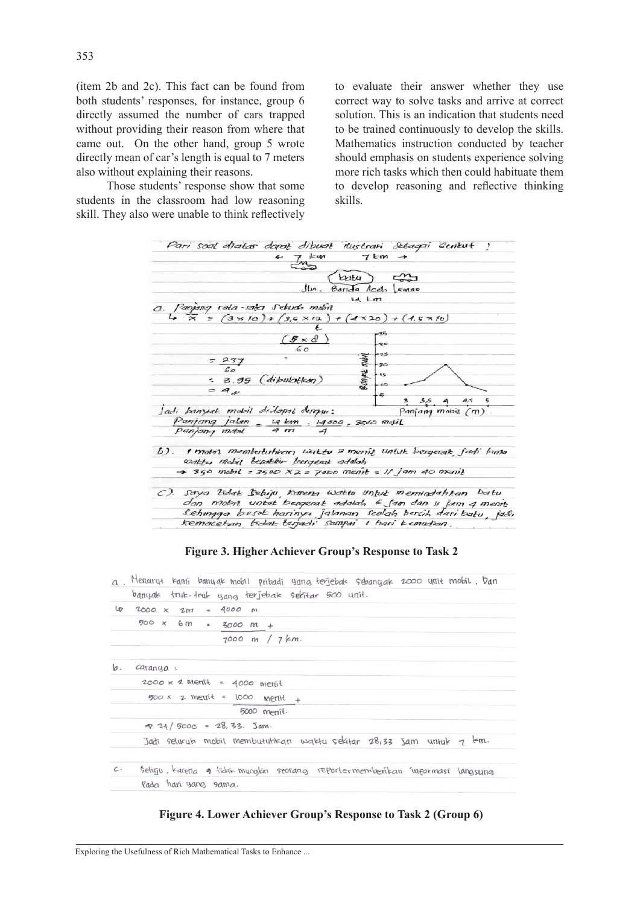(item 2b and 2c). This fact can be found from both students' responses, for instance, group 6 directly assumed the number of cars trapped without providing their reason from where that came out. On the other hand, group 5 wrote directly mean of car's length is equal to 7 meters also without explaining their reasons.

Those students' response show that some students in the classroom had low reasoning skill. They also were unable to think reflectively to evaluate their answer whether they use correct way to solve tasks and arrive at correct solution. This is an indication that students need to be trained continuously to develop the skills. Mathematics instruction conducted by teacher should emphasis on students experience solving more rich tasks which then could habituate them to develop reasoning and reflective thinking skills.

| Pari soal diatos dopat dibuat ilustrani Sebagai Gerikut !                                                            |                                  |
|----------------------------------------------------------------------------------------------------------------------|----------------------------------|
|                                                                                                                      |                                  |
| $\frac{1}{2}$                                                                                                        |                                  |
|                                                                                                                      | $k$ utu) $\epsilon_{\text{min}}$ |
| Ilu. Banda Acch Lamno                                                                                                |                                  |
| La Em                                                                                                                |                                  |
|                                                                                                                      |                                  |
| $\alpha$ . Panjang rata-rata sebuah mubit<br>$= (3 \times 10) + (3, 5 \times 12) + (4 \times 20) + (4, 5 \times 10)$ |                                  |
|                                                                                                                      |                                  |
|                                                                                                                      |                                  |
|                                                                                                                      | $+30$                            |
| $\frac{5 \times 8}{60}$                                                                                              | $+25$                            |
| $=$ $\frac{237}{60}$                                                                                                 | -20                              |
| $= 3.95$ (dibulation)                                                                                                | $\frac{1}{20}$ 15                |
| $=$ $4$                                                                                                              |                                  |
|                                                                                                                      | 4,5<br>3.5<br>3                  |
| Jadi banyak mobil didapat dengan: Panjang mobil (m)                                                                  |                                  |
| Panjang jalan - 14 km - 14000 - 3500 metil                                                                           |                                  |
| panjang mobil 4 m 4                                                                                                  |                                  |
|                                                                                                                      |                                  |
| b). I mobil membutuhkan waktu 2 meniz untuk bergerak jadi lama                                                       |                                  |
| Wakty Mobil Lepaktiv besqueak adalah                                                                                 |                                  |
| $\rightarrow$ 350 mobil = 3500 $XZ$ = 7000 menit = 11 jam 40 menit                                                   |                                  |
|                                                                                                                      |                                  |
| C). Saya tidak Beluju, karena Waktu Unluk memindahkan batu                                                           |                                  |
| dan mobil untuk bergerak adalah 6 fam dan 11 jam 4 ment                                                              |                                  |
| Sehingga besek harinya jalanan scolah bersih dari batu, jadi                                                         |                                  |
| kemacetan fidak terjadi sampai 1 hari kemudian.                                                                      |                                  |

**Figure 3. Higher Achiever Group's Response to Task 2**

|                 | a. Menarut kami banyak mobil pribadi yang terjebak sebanyak 2000 unit mobil. Dan |
|-----------------|----------------------------------------------------------------------------------|
|                 | banyak truk-truk yang terjebak sekitar 500 unit.                                 |
|                 | $4000 \times 2m = 4000 m$                                                        |
|                 | $500 \times 6m = 3000 m +$                                                       |
|                 | $7000$ m / $7km$ .                                                               |
| Ь.              | $Cdr$ anya:                                                                      |
|                 | $2000 \times 2$ Menit = 4000 menit                                               |
|                 | $500 \times 2$ ment = $1000$ ment +                                              |
|                 | 5000 menit.                                                                      |
|                 | $\approx$ 24/5000 = 28,33. Jam.                                                  |
|                 | Jadi seluruh mobil membutuhkan waktu sekitar 28,33 Jam untuk 7 km.               |
| $\mathcal{C}$ . | Setuju, tarena a tidak mungtin seorang reportermemberikan informasi langsung     |
|                 | Rada hari yang sama.                                                             |

**Figure 4. Lower Achiever Group's Response to Task 2 (Group 6)**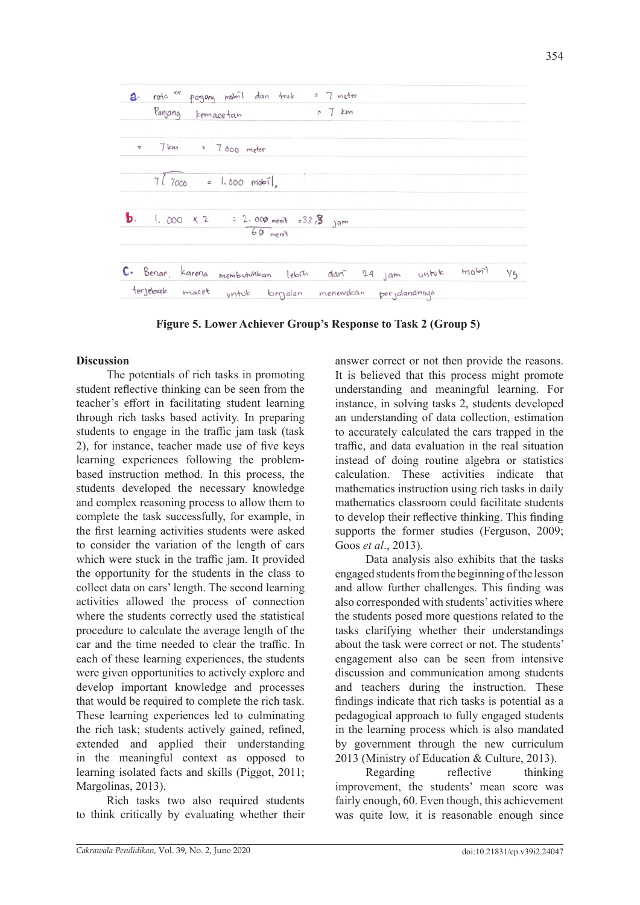

**Figure 5. Lower Achiever Group's Response to Task 2 (Group 5)**

# **Discussion**

The potentials of rich tasks in promoting student reflective thinking can be seen from the teacher's effort in facilitating student learning through rich tasks based activity. In preparing students to engage in the traffic jam task (task 2), for instance, teacher made use of five keys learning experiences following the problembased instruction method. In this process, the students developed the necessary knowledge and complex reasoning process to allow them to complete the task successfully, for example, in the first learning activities students were asked to consider the variation of the length of cars which were stuck in the traffic jam. It provided the opportunity for the students in the class to collect data on cars' length. The second learning activities allowed the process of connection where the students correctly used the statistical procedure to calculate the average length of the car and the time needed to clear the traffic. In each of these learning experiences, the students were given opportunities to actively explore and develop important knowledge and processes that would be required to complete the rich task. These learning experiences led to culminating the rich task; students actively gained, refined, extended and applied their understanding in the meaningful context as opposed to learning isolated facts and skills (Piggot, 2011; Margolinas, 2013).

Rich tasks two also required students to think critically by evaluating whether their

answer correct or not then provide the reasons. It is believed that this process might promote understanding and meaningful learning. For instance, in solving tasks 2, students developed an understanding of data collection, estimation to accurately calculated the cars trapped in the traffic, and data evaluation in the real situation instead of doing routine algebra or statistics calculation. These activities indicate that mathematics instruction using rich tasks in daily mathematics classroom could facilitate students to develop their reflective thinking. This finding supports the former studies (Ferguson, 2009; Goos *et al*., 2013).

Data analysis also exhibits that the tasks engaged students from the beginning of the lesson and allow further challenges. This finding was also corresponded with students' activities where the students posed more questions related to the tasks clarifying whether their understandings about the task were correct or not. The students' engagement also can be seen from intensive discussion and communication among students and teachers during the instruction. These findings indicate that rich tasks is potential as a pedagogical approach to fully engaged students in the learning process which is also mandated by government through the new curriculum 2013 (Ministry of Education & Culture, 2013).

Regarding reflective thinking improvement, the students' mean score was fairly enough, 60. Even though, this achievement was quite low, it is reasonable enough since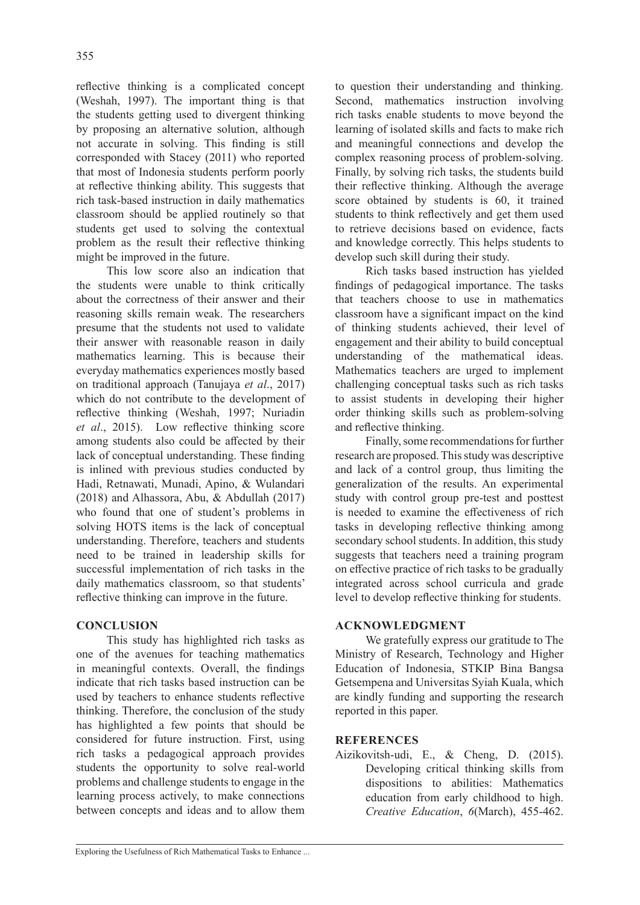reflective thinking is a complicated concept (Weshah, 1997). The important thing is that the students getting used to divergent thinking by proposing an alternative solution, although not accurate in solving. This finding is still corresponded with Stacey (2011) who reported that most of Indonesia students perform poorly at reflective thinking ability. This suggests that rich task-based instruction in daily mathematics classroom should be applied routinely so that students get used to solving the contextual problem as the result their reflective thinking might be improved in the future.

This low score also an indication that the students were unable to think critically about the correctness of their answer and their reasoning skills remain weak. The researchers presume that the students not used to validate their answer with reasonable reason in daily mathematics learning. This is because their everyday mathematics experiences mostly based on traditional approach (Tanujaya *et al*., 2017) which do not contribute to the development of reflective thinking (Weshah, 1997; Nuriadin *et al*., 2015). Low reflective thinking score among students also could be affected by their lack of conceptual understanding. These finding is inlined with previous studies conducted by Hadi, Retnawati, Munadi, Apino, & Wulandari (2018) and Alhassora, Abu, & Abdullah (2017) who found that one of student's problems in solving HOTS items is the lack of conceptual understanding. Therefore, teachers and students need to be trained in leadership skills for successful implementation of rich tasks in the daily mathematics classroom, so that students' reflective thinking can improve in the future.

## **CONCLUSION**

This study has highlighted rich tasks as one of the avenues for teaching mathematics in meaningful contexts. Overall, the findings indicate that rich tasks based instruction can be used by teachers to enhance students reflective thinking. Therefore, the conclusion of the study has highlighted a few points that should be considered for future instruction. First, using rich tasks a pedagogical approach provides students the opportunity to solve real-world problems and challenge students to engage in the learning process actively, to make connections between concepts and ideas and to allow them to question their understanding and thinking. Second, mathematics instruction involving rich tasks enable students to move beyond the learning of isolated skills and facts to make rich and meaningful connections and develop the complex reasoning process of problem-solving. Finally, by solving rich tasks, the students build their reflective thinking. Although the average score obtained by students is 60, it trained students to think reflectively and get them used to retrieve decisions based on evidence, facts and knowledge correctly. This helps students to develop such skill during their study.

Rich tasks based instruction has yielded findings of pedagogical importance. The tasks that teachers choose to use in mathematics classroom have a significant impact on the kind of thinking students achieved, their level of engagement and their ability to build conceptual understanding of the mathematical ideas. Mathematics teachers are urged to implement challenging conceptual tasks such as rich tasks to assist students in developing their higher order thinking skills such as problem-solving and reflective thinking.

Finally, some recommendations for further research are proposed. This study was descriptive and lack of a control group, thus limiting the generalization of the results. An experimental study with control group pre-test and posttest is needed to examine the effectiveness of rich tasks in developing reflective thinking among secondary school students. In addition, this study suggests that teachers need a training program on effective practice of rich tasks to be gradually integrated across school curricula and grade level to develop reflective thinking for students.

## **ACKNOWLEDGMENT**

We gratefully express our gratitude to The Ministry of Research, Technology and Higher Education of Indonesia, STKIP Bina Bangsa Getsempena and Universitas Syiah Kuala, which are kindly funding and supporting the research reported in this paper.

## **REFERENCES**

Aizikovitsh-udi, E., & Cheng, D. (2015). Developing critical thinking skills from dispositions to abilities: Mathematics education from early childhood to high. *Creative Education*, *6*(March), 455-462.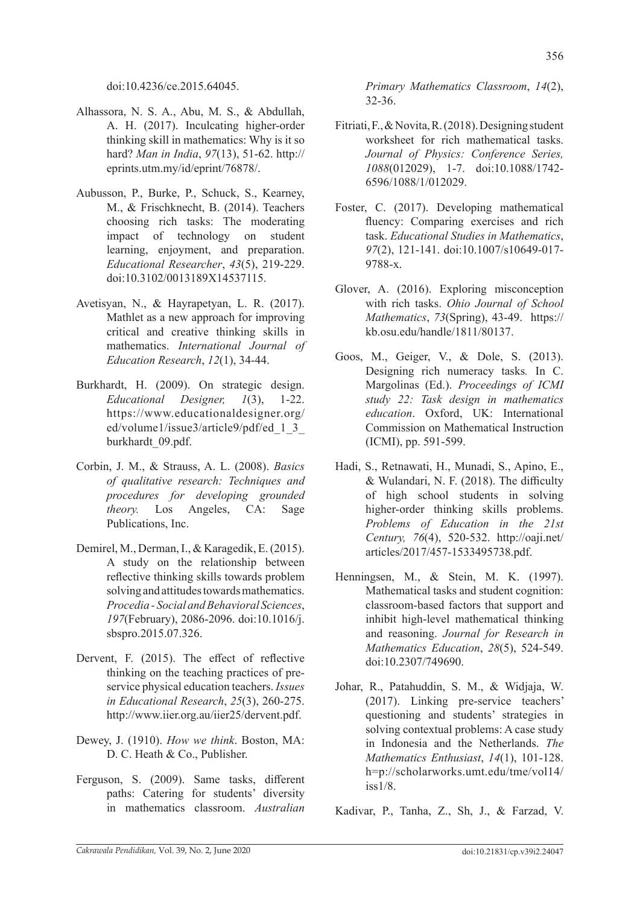doi:10.4236/ce.2015.64045.

- Alhassora, N. S. A., Abu, M. S., & Abdullah, A. H. (2017). Inculcating higher-order thinking skill in mathematics: Why is it so hard? *Man in India*, *97*(13), 51-62. http:// eprints.utm.my/id/eprint/76878/.
- Aubusson, P., Burke, P., Schuck, S., Kearney, M., & Frischknecht, B. (2014). Teachers choosing rich tasks: The moderating impact of technology on student learning, enjoyment, and preparation. *Educational Researcher*, *43*(5), 219-229. doi:10.3102/0013189X14537115.
- Avetisyan, N., & Hayrapetyan, L. R. (2017). Mathlet as a new approach for improving critical and creative thinking skills in mathematics. *International Journal of Education Research*, *12*(1), 34-44.
- Burkhardt, H. (2009). On strategic design. *Educational Designer, 1*(3), 1-22. https://www.educationaldesigner.org/ ed/volume1/issue3/article9/pdf/ed 1 3 burkhardt\_09.pdf.
- Corbin, J. M., & Strauss, A. L. (2008). *Basics of qualitative research: Techniques and procedures for developing grounded theory.* Los Angeles, CA: Sage Publications, Inc.
- Demirel, M., Derman, I., & Karagedik, E. (2015). A study on the relationship between reflective thinking skills towards problem solving and attitudes towards mathematics. *Procedia - Social and Behavioral Sciences*, *197*(February), 2086-2096. doi:10.1016/j. sbspro.2015.07.326.
- Dervent, F. (2015). The effect of reflective thinking on the teaching practices of preservice physical education teachers. *Issues in Educational Research*, *25*(3), 260-275. http://www.iier.org.au/iier25/dervent.pdf.
- Dewey, J. (1910). *How we think*. Boston, MA: D. C. Heath & Co., Publisher.
- Ferguson, S. (2009). Same tasks, different paths: Catering for students' diversity in mathematics classroom. *Australian*

*Primary Mathematics Classroom*, *14*(2), 32-36.

- Fitriati, F., & Novita, R. (2018). Designing student worksheet for rich mathematical tasks. *Journal of Physics: Conference Series, 1088*(012029), 1-7. doi:10.1088/1742- 6596/1088/1/012029.
- Foster, C. (2017). Developing mathematical fluency: Comparing exercises and rich task. *Educational Studies in Mathematics*, *97*(2), 121-141. doi:10.1007/s10649-017- 9788-x.
- Glover, A. (2016). Exploring misconception with rich tasks. *Ohio Journal of School Mathematics*, *73*(Spring), 43-49. https:// kb.osu.edu/handle/1811/80137.
- Goos, M., Geiger, V., & Dole, S. (2013). Designing rich numeracy tasks*.* In C. Margolinas (Ed.). *Proceedings of ICMI study 22: Task design in mathematics education*. Oxford, UK: International Commission on Mathematical Instruction (ICMI), pp. 591-599.
- Hadi, S., Retnawati, H., Munadi, S., Apino, E., & Wulandari, N. F. (2018). The difficulty of high school students in solving higher-order thinking skills problems. *Problems of Education in the 21st Century, 76*(4), 520-532. http://oaji.net/ articles/2017/457-1533495738.pdf.
- Henningsen, M., & Stein, M. K. (1997). Mathematical tasks and student cognition: classroom-based factors that support and inhibit high-level mathematical thinking and reasoning. *Journal for Research in Mathematics Education*, *28*(5), 524-549. doi:10.2307/749690.
- Johar, R., Patahuddin, S. M., & Widjaja, W. (2017). Linking pre-service teachers' questioning and students' strategies in solving contextual problems: A case study in Indonesia and the Netherlands. *The Mathematics Enthusiast*, *14*(1), 101-128. h=p://scholarworks.umt.edu/tme/vol14/  $iss1/8$ .

Kadivar, P., Tanha, Z., Sh, J., & Farzad, V.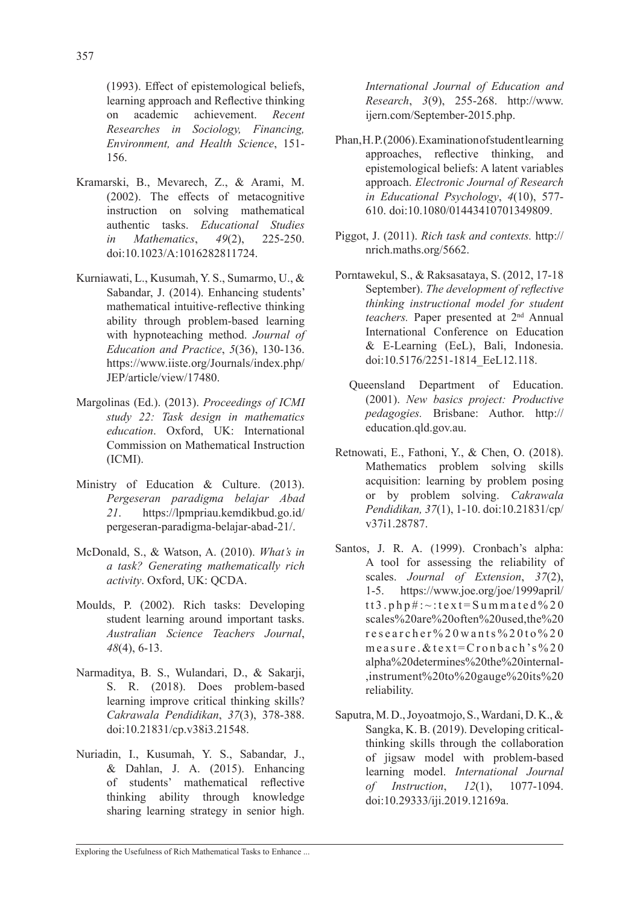(1993). Effect of epistemological beliefs, learning approach and Reflective thinking on academic achievement. *Recent Researches in Sociology, Financing, Environment, and Health Science*, 151- 156.

- Kramarski, B., Mevarech, Z., & Arami, M. (2002). The effects of metacognitive instruction on solving mathematical authentic tasks. *Educational Studies in Mathematics*, *49*(2), 225-250. doi:10.1023/A:1016282811724.
- Kurniawati, L., Kusumah, Y. S., Sumarmo, U., & Sabandar, J. (2014). Enhancing students' mathematical intuitive-reflective thinking ability through problem-based learning with hypnoteaching method. *Journal of Education and Practice*, *5*(36), 130-136. https://www.iiste.org/Journals/index.php/ JEP/article/view/17480.
- Margolinas (Ed.). (2013). *Proceedings of ICMI study 22: Task design in mathematics education*. Oxford, UK: International Commission on Mathematical Instruction (ICMI).
- Ministry of Education & Culture. (2013). *Pergeseran paradigma belajar Abad 21*. https://lpmpriau.kemdikbud.go.id/ pergeseran-paradigma-belajar-abad-21/.
- McDonald, S., & Watson, A. (2010). *What's in a task? Generating mathematically rich activity*. Oxford, UK: QCDA.
- Moulds, P. (2002). Rich tasks: Developing student learning around important tasks. *Australian Science Teachers Journal*, *48*(4), 6-13.
- Narmaditya, B. S., Wulandari, D., & Sakarji, S. R. (2018). Does problem-based learning improve critical thinking skills? *Cakrawala Pendidikan*, *37*(3), 378-388. doi:10.21831/cp.v38i3.21548.
- Nuriadin, I., Kusumah, Y. S., Sabandar, J., & Dahlan, J. A. (2015). Enhancing of students' mathematical reflective thinking ability through knowledge sharing learning strategy in senior high.

*International Journal of Education and Research*, *3*(9), 255-268. http://www. ijern.com/September-2015.php.

- Phan, H. P. (2006). Examination of student learning approaches, reflective thinking, and epistemological beliefs: A latent variables approach. *Electronic Journal of Research in Educational Psychology*, *4*(10), 577- 610. doi:10.1080/01443410701349809.
- Piggot, J. (2011). *Rich task and contexts.* http:// nrich.maths.org/5662.
- Porntawekul, S., & Raksasataya, S. (2012, 17-18 September). *The development of reflective thinking instructional model for student teachers.* Paper presented at 2nd Annual International Conference on Education & E-Learning (EeL), Bali, Indonesia. doi:10.5176/2251-1814\_EeL12.118.
	- Queensland Department of Education. (2001). *New basics project: Productive pedagogies.* Brisbane: Author. http:// education.qld.gov.au.
- Retnowati, E., Fathoni, Y., & Chen, O. (2018). Mathematics problem solving skills acquisition: learning by problem posing or by problem solving. *Cakrawala Pendidikan, 37*(1), 1-10. doi:10.21831/cp/ v37i1.28787.
- Santos, J. R. A. (1999). Cronbach's alpha: A tool for assessing the reliability of scales. *Journal of Extension*, *37*(2), 1-5. https://www.joe.org/joe/1999april/ tt3.php#:~:text=Summated%20 scales%20are%20often%20used,the%20 researcher%20wants%20to%20 measure.&text=Cronbach's%20 alpha%20determines%20the%20internal- ,instrument%20to%20gauge%20its%20 reliability.
- Saputra, M. D., Joyoatmojo, S., Wardani, D. K., & Sangka, K. B. (2019). Developing criticalthinking skills through the collaboration of jigsaw model with problem-based learning model. *International Journal of Instruction*, *12*(1), 1077-1094. doi:10.29333/iji.2019.12169a.